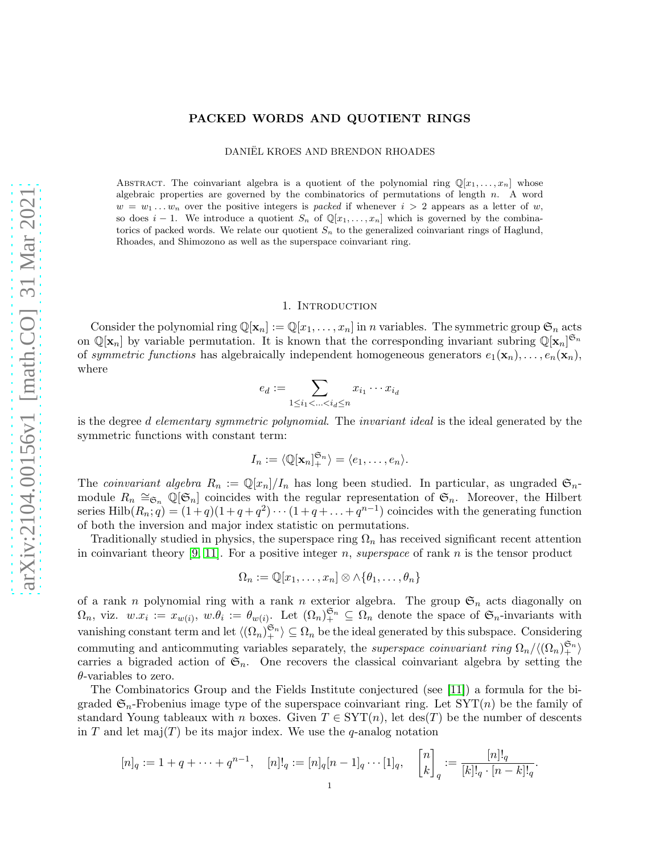# PACKED WORDS AND QUOTIENT RINGS

DANIËL KROES AND BRENDON RHOADES

ABSTRACT. The coinvariant algebra is a quotient of the polynomial ring  $\mathbb{Q}[x_1, \ldots, x_n]$  whose algebraic properties are governed by the combinatorics of permutations of length  $n$ . A word  $w = w_1 \ldots w_n$  over the positive integers is *packed* if whenever  $i > 2$  appears as a letter of w, so does  $i-1$ . We introduce a quotient  $S_n$  of  $\mathbb{Q}[x_1,\ldots,x_n]$  which is governed by the combinatorics of packed words. We relate our quotient  $S_n$  to the generalized coinvariant rings of Haglund, Rhoades, and Shimozono as well as the superspace coinvariant ring.

#### 1. Introduction

Consider the polynomial ring  $\mathbb{Q}[\mathbf{x}_n] := \mathbb{Q}[x_1, \ldots, x_n]$  in n variables. The symmetric group  $\mathfrak{S}_n$  acts on  $\mathbb{Q}[\mathbf{x}_n]$  by variable permutation. It is known that the corresponding invariant subring  $\mathbb{Q}[\mathbf{x}_n]^{\mathfrak{S}_n}$ of symmetric functions has algebraically independent homogeneous generators  $e_1(\mathbf{x}_n), \ldots, e_n(\mathbf{x}_n)$ , where

$$
e_d:=\sum_{1\leq i_1<\ldots
$$

is the degree d elementary symmetric polynomial. The invariant ideal is the ideal generated by the symmetric functions with constant term:

$$
I_n := \langle \mathbb{Q}[\mathbf{x}_n]_+^{\mathfrak{S}_n} \rangle = \langle e_1, \dots, e_n \rangle.
$$

The *coinvariant algebra*  $R_n := \mathbb{Q}[x_n]/I_n$  has long been studied. In particular, as ungraded  $\mathfrak{S}_n$ module  $R_n \cong_{\mathfrak{S}_n} \mathbb{Q}[\mathfrak{S}_n]$  coincides with the regular representation of  $\mathfrak{S}_n$ . Moreover, the Hilbert series  $\text{Hilb}(R_n; q) = (1+q)(1+q+q^2)\cdots(1+q+\ldots+q^{n-1})$  coincides with the generating function of both the inversion and major index statistic on permutations.

Traditionally studied in physics, the superspace ring  $\Omega_n$  has received significant recent attention in coinvariant theory [\[9,](#page-11-0) [11\]](#page-11-1). For a positive integer n, superspace of rank n is the tensor product

$$
\Omega_n := \mathbb{Q}[x_1, \dots, x_n] \otimes \wedge \{\theta_1, \dots, \theta_n\}
$$

of a rank n polynomial ring with a rank n exterior algebra. The group  $\mathfrak{S}_n$  acts diagonally on  $\Omega_n$ , viz.  $w.x_i := x_{w(i)}, w.\theta_i := \theta_{w(i)}$ . Let  $(\Omega_n)_{+}^{\mathfrak{S}_n} \subseteq \Omega_n$  denote the space of  $\mathfrak{S}_n$ -invariants with vanishing constant term and let  $\langle (\Omega_n)_{+}^{\mathfrak{S}_n} \rangle \subseteq \Omega_n$  be the ideal generated by this subspace. Considering commuting and anticommuting variables separately, the *superspace coinvariant ring*  $\Omega_n/\langle(\Omega_n)_{+}^{\mathfrak{S}_n}\rangle$ carries a bigraded action of  $\mathfrak{S}_n$ . One recovers the classical coinvariant algebra by setting the  $\theta$ -variables to zero.

The Combinatorics Group and the Fields Institute conjectured (see [\[11\]](#page-11-1)) a formula for the bigraded  $\mathfrak{S}_n$ -Frobenius image type of the superspace coinvariant ring. Let  $SYT(n)$  be the family of standard Young tableaux with n boxes. Given  $T \in \text{SYT}(n)$ , let  $\text{des}(T)$  be the number of descents in T and let maj(T) be its major index. We use the q-analog notation

$$
[n]_q := 1 + q + \dots + q^{n-1}, \quad [n]!_q := [n]_q [n-1]_q \cdots [1]_q, \quad \begin{bmatrix} n \\ k \end{bmatrix}_q := \frac{[n]!_q}{[k]!_q \cdot [n-k]!_q}.
$$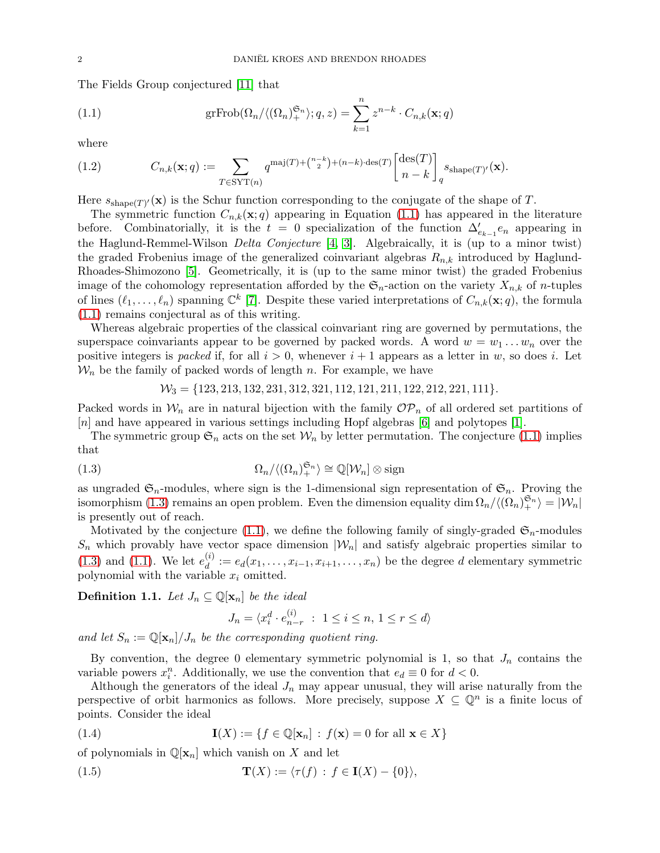The Fields Group conjectured [\[11\]](#page-11-1) that

<span id="page-1-0"></span>(1.1) 
$$
\mathrm{grFrob}(\Omega_n/\langle (\Omega_n)^{\mathfrak{S}_n} \rangle; q, z) = \sum_{k=1}^n z^{n-k} \cdot C_{n,k}(\mathbf{x};q)
$$

where

<span id="page-1-3"></span>(1.2) 
$$
C_{n,k}(\mathbf{x};q) := \sum_{T \in \text{SYT}(n)} q^{\text{maj}(T) + {n-k \choose 2} + (n-k) \cdot \text{des}(T)} \begin{bmatrix} \text{des}(T) \\ n-k \end{bmatrix}_q s_{\text{shape}(T)'}(\mathbf{x}).
$$

Here  $s_{\text{shape}(T)'}(\mathbf{x})$  is the Schur function corresponding to the conjugate of the shape of T.

The symmetric function  $C_{n,k}(\mathbf{x};q)$  appearing in Equation [\(1.1\)](#page-1-0) has appeared in the literature before. Combinatorially, it is the  $t = 0$  specialization of the function  $\Delta'_{e_{k-1}}e_n$  appearing in the Haglund-Remmel-Wilson *Delta Conjecture* [\[4,](#page-11-2) [3\]](#page-11-3). Algebraically, it is (up to a minor twist) the graded Frobenius image of the generalized coinvariant algebras  $R_{n,k}$  introduced by Haglund-Rhoades-Shimozono [\[5\]](#page-11-4). Geometrically, it is (up to the same minor twist) the graded Frobenius image of the cohomology representation afforded by the  $\mathfrak{S}_n$ -action on the variety  $X_{n,k}$  of n-tuples of lines  $(\ell_1,\ldots,\ell_n)$  spanning  $\mathbb{C}^k$  [\[7\]](#page-11-5). Despite these varied interpretations of  $C_{n,k}(\mathbf{x};q)$ , the formula [\(1.1\)](#page-1-0) remains conjectural as of this writing.

Whereas algebraic properties of the classical coinvariant ring are governed by permutations, the superspace coinvariants appear to be governed by packed words. A word  $w = w_1 \dots w_n$  over the positive integers is packed if, for all  $i > 0$ , whenever  $i + 1$  appears as a letter in w, so does i. Let  $\mathcal{W}_n$  be the family of packed words of length n. For example, we have

<span id="page-1-1"></span>
$$
\mathcal{W}_3=\{123,213,132,231,312,321,112,121,211,122,212,221,111\}.
$$

Packed words in  $W_n$  are in natural bijection with the family  $\mathcal{OP}_n$  of all ordered set partitions of [n] and have appeared in various settings including Hopf algebras [\[6\]](#page-11-6) and polytopes [\[1\]](#page-11-7).

The symmetric group  $\mathfrak{S}_n$  acts on the set  $\mathcal{W}_n$  by letter permutation. The conjecture [\(1.1\)](#page-1-0) implies that

(1.3) 
$$
\Omega_n/\langle(\Omega_n)_+^{\mathfrak{S}_n}\rangle \cong \mathbb{Q}[\mathcal{W}_n] \otimes \text{sign}
$$

as ungraded  $\mathfrak{S}_n$ -modules, where sign is the 1-dimensional sign representation of  $\mathfrak{S}_n$ . Proving the isomorphism [\(1.3\)](#page-1-1) remains an open problem. Even the dimension equality dim  $\Omega_n/\langle(\Omega_n)_+^{\mathfrak{S}_n}\rangle = |\mathcal{W}_n|$ is presently out of reach.

Motivated by the conjecture [\(1.1\)](#page-1-0), we define the following family of singly-graded  $\mathfrak{S}_n$ -modules  $S_n$  which provably have vector space dimension  $|\mathcal{W}_n|$  and satisfy algebraic properties similar to  $(1.3)$  and  $(1.1)$ . We let  $e_d^{(i)}$  $d_i^{(i)} := e_d(x_1, \ldots, x_{i-1}, x_{i+1}, \ldots, x_n)$  be the degree d elementary symmetric polynomial with the variable  $x_i$  omitted.

<span id="page-1-2"></span>**Definition 1.1.** Let  $J_n \subseteq \mathbb{Q}[\mathbf{x}_n]$  be the ideal

$$
J_n = \langle x_i^d \cdot e_{n-r}^{(i)} : 1 \le i \le n, 1 \le r \le d \rangle
$$

and let  $S_n := \mathbb{Q}[\mathbf{x}_n]/J_n$  be the corresponding quotient ring.

By convention, the degree 0 elementary symmetric polynomial is 1, so that  $J_n$  contains the variable powers  $x_i^n$ . Additionally, we use the convention that  $e_d \equiv 0$  for  $d < 0$ .

Although the generators of the ideal  $J_n$  may appear unusual, they will arise naturally from the perspective of orbit harmonics as follows. More precisely, suppose  $X \subseteq \mathbb{Q}^n$  is a finite locus of points. Consider the ideal

(1.4) 
$$
\mathbf{I}(X) := \{ f \in \mathbb{Q}[\mathbf{x}_n] : f(\mathbf{x}) = 0 \text{ for all } \mathbf{x} \in X \}
$$

of polynomials in  $\mathbb{Q}[\mathbf{x}_n]$  which vanish on X and let

(1.5) 
$$
\mathbf{T}(X) := \langle \tau(f) : f \in \mathbf{I}(X) - \{0\} \rangle,
$$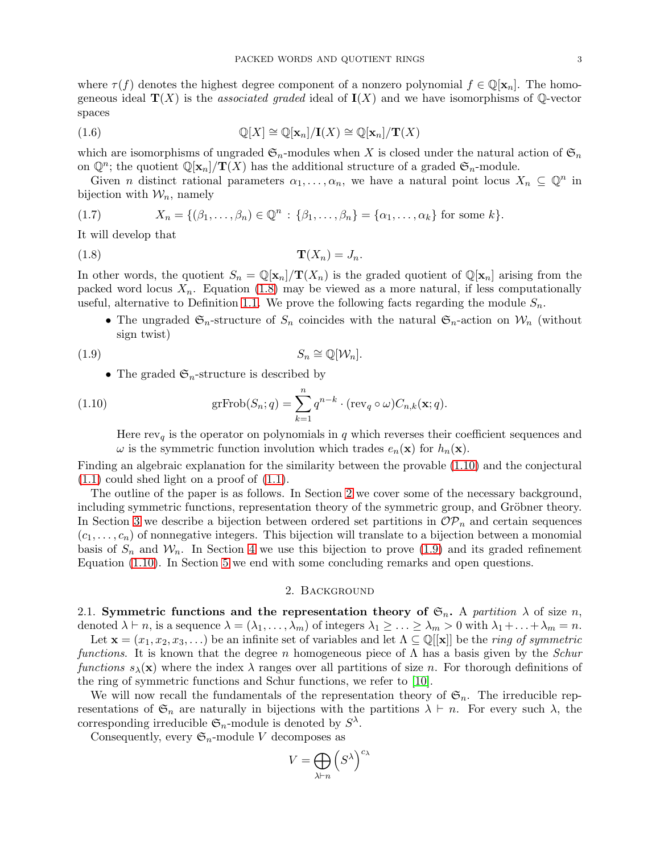where  $\tau(f)$  denotes the highest degree component of a nonzero polynomial  $f \in \mathbb{Q}[\mathbf{x}_n]$ . The homogeneous ideal  $\mathbf{T}(X)$  is the *associated graded* ideal of  $\mathbf{I}(X)$  and we have isomorphisms of Q-vector spaces

(1.6) 
$$
\mathbb{Q}[X] \cong \mathbb{Q}[\mathbf{x}_n]/\mathbf{I}(X) \cong \mathbb{Q}[\mathbf{x}_n]/\mathbf{T}(X)
$$

which are isomorphisms of ungraded  $\mathfrak{S}_n$ -modules when X is closed under the natural action of  $\mathfrak{S}_n$ on  $\mathbb{Q}^n$ ; the quotient  $\mathbb{Q}[\mathbf{x}_n]/\mathbf{T}(X)$  has the additional structure of a graded  $\mathfrak{S}_n$ -module.

Given *n* distinct rational parameters  $\alpha_1, \ldots, \alpha_n$ , we have a natural point locus  $X_n \subseteq \mathbb{Q}^n$  in bijection with  $\mathcal{W}_n$ , namely

(1.7) 
$$
X_n = \{(\beta_1, ..., \beta_n) \in \mathbb{Q}^n : \{\beta_1, ..., \beta_n\} = \{\alpha_1, ..., \alpha_k\} \text{ for some } k\}.
$$

It will develop that

$$
\mathbf{T}(X_n) = J_n.
$$

In other words, the quotient  $S_n = \mathbb{Q}[\mathbf{x}_n]/\mathbf{T}(X_n)$  is the graded quotient of  $\mathbb{Q}[\mathbf{x}_n]$  arising from the packed word locus  $X_n$ . Equation [\(1.8\)](#page-2-0) may be viewed as a more natural, if less computationally useful, alternative to Definition [1.1.](#page-1-2) We prove the following facts regarding the module  $S_n$ .

<span id="page-2-0"></span>• The ungraded  $\mathfrak{S}_n$ -structure of  $S_n$  coincides with the natural  $\mathfrak{S}_n$ -action on  $\mathcal{W}_n$  (without sign twist)

$$
(1.9) \t S_n \cong \mathbb{Q}[\mathcal{W}_n].
$$

<span id="page-2-3"></span>• The graded  $\mathfrak{S}_n$ -structure is described by

(1.10) 
$$
\mathrm{grFrob}(S_n; q) = \sum_{k=1}^n q^{n-k} \cdot (\mathrm{rev}_q \circ \omega) C_{n,k}(\mathbf{x}; q).
$$

<span id="page-2-1"></span>Here  $rev_q$  is the operator on polynomials in q which reverses their coefficient sequences and  $\omega$  is the symmetric function involution which trades  $e_n(\mathbf{x})$  for  $h_n(\mathbf{x})$ .

Finding an algebraic explanation for the similarity between the provable [\(1.10\)](#page-2-1) and the conjectural  $(1.1)$  could shed light on a proof of  $(1.1)$ .

The outline of the paper is as follows. In Section [2](#page-2-2) we cover some of the necessary background, including symmetric functions, representation theory of the symmetric group, and Gröbner theory. In Section [3](#page-3-0) we describe a bijection between ordered set partitions in  $\mathcal{OP}_n$  and certain sequences  $(c_1, \ldots, c_n)$  of nonnegative integers. This bijection will translate to a bijection between a monomial basis of  $S_n$  and  $W_n$ . In Section [4](#page-7-0) we use this bijection to prove [\(1.9\)](#page-2-3) and its graded refinement Equation [\(1.10\)](#page-2-1). In Section [5](#page-10-0) we end with some concluding remarks and open questions.

## 2. Background

<span id="page-2-2"></span>2.1. Symmetric functions and the representation theory of  $\mathfrak{S}_n$ . A partition  $\lambda$  of size n, denoted  $\lambda \vdash n$ , is a sequence  $\lambda = (\lambda_1, \ldots, \lambda_m)$  of integers  $\lambda_1 \geq \ldots \geq \lambda_m > 0$  with  $\lambda_1 + \ldots + \lambda_m = n$ . Let  $\mathbf{x} = (x_1, x_2, x_3, ...)$  be an infinite set of variables and let  $\Lambda \subseteq \mathbb{Q}[[\mathbf{x}]]$  be the ring of symmetric functions. It is known that the degree n homogeneous piece of  $\Lambda$  has a basis given by the *Schur* functions  $s_\lambda(\mathbf{x})$  where the index  $\lambda$  ranges over all partitions of size n. For thorough definitions of the ring of symmetric functions and Schur functions, we refer to [\[10\]](#page-11-8).

We will now recall the fundamentals of the representation theory of  $\mathfrak{S}_n$ . The irreducible representations of  $\mathfrak{S}_n$  are naturally in bijections with the partitions  $\lambda \vdash n$ . For every such  $\lambda$ , the corresponding irreducible  $\mathfrak{S}_n$ -module is denoted by  $S^{\lambda}$ .

Consequently, every  $\mathfrak{S}_n$ -module V decomposes as

$$
V = \bigoplus_{\lambda \vdash n} \left( S^{\lambda} \right)^{c_{\lambda}}
$$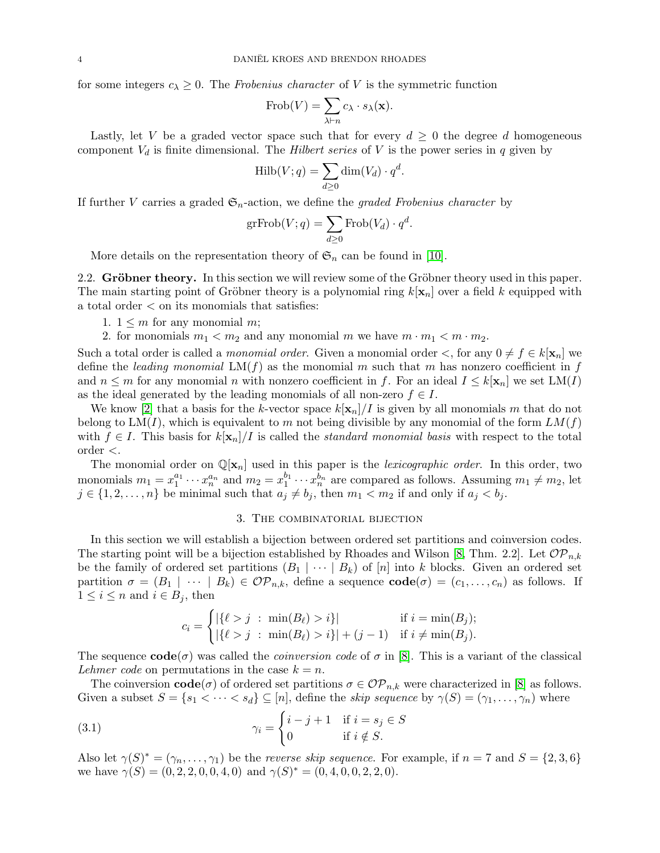for some integers  $c_{\lambda} \geq 0$ . The Frobenius character of V is the symmetric function

$$
\mathrm{Frob}(V) = \sum_{\lambda \vdash n} c_{\lambda} \cdot s_{\lambda}(\mathbf{x}).
$$

Lastly, let V be a graded vector space such that for every  $d \geq 0$  the degree d homogeneous component  $V_d$  is finite dimensional. The *Hilbert series* of V is the power series in q given by

$$
\mathrm{Hilb}(V;q) = \sum_{d \ge 0} \dim(V_d) \cdot q^d.
$$

If further V carries a graded  $\mathfrak{S}_n$ -action, we define the *graded Frobenius character* by

$$
\mathrm{grFrob}(V; q) = \sum_{d \ge 0} \mathrm{Frob}(V_d) \cdot q^d.
$$

More details on the representation theory of  $\mathfrak{S}_n$  can be found in [\[10\]](#page-11-8).

2.2. Gröbner theory. In this section we will review some of the Gröbner theory used in this paper. The main starting point of Gröbner theory is a polynomial ring  $k[\mathbf{x}_n]$  over a field k equipped with a total order < on its monomials that satisfies:

- 1.  $1 \leq m$  for any monomial m;
- 2. for monomials  $m_1 < m_2$  and any monomial m we have  $m \cdot m_1 < m \cdot m_2$ .

Such a total order is called a *monomial order*. Given a monomial order  $\lt$ , for any  $0 \neq f \in k[\mathbf{x}_n]$  we define the leading monomial  $LM(f)$  as the monomial m such that m has nonzero coefficient in f and  $n \leq m$  for any monomial n with nonzero coefficient in f. For an ideal  $I \leq k[\mathbf{x}_n]$  we set  $LM(I)$ as the ideal generated by the leading monomials of all non-zero  $f \in I$ .

We know [\[2\]](#page-11-9) that a basis for the k-vector space  $k[\mathbf{x}_n]/I$  is given by all monomials m that do not belong to  $LM(I)$ , which is equivalent to m not being divisible by any monomial of the form  $LM(f)$ with  $f \in I$ . This basis for  $k[\mathbf{x}_n]/I$  is called the *standard monomial basis* with respect to the total order <.

The monomial order on  $\mathbb{Q}[x_n]$  used in this paper is the *lexicographic order*. In this order, two monomials  $m_1 = x_1^{a_1} \cdots x_n^{a_n}$  and  $m_2 = x_1^{b_1} \cdots x_n^{b_n}$  are compared as follows. Assuming  $m_1 \neq m_2$ , let  $j \in \{1, 2, \ldots, n\}$  be minimal such that  $a_j \neq b_j$ , then  $m_1 < m_2$  if and only if  $a_j < b_j$ .

## 3. The combinatorial bijection

<span id="page-3-0"></span>In this section we will establish a bijection between ordered set partitions and coinversion codes. The starting point will be a bijection established by Rhoades and Wilson [\[8,](#page-11-10) Thm. 2.2]. Let  $\mathcal{OP}_{n,k}$ be the family of ordered set partitions  $(B_1 \mid \cdots \mid B_k)$  of  $[n]$  into k blocks. Given an ordered set partition  $\sigma = (B_1 \mid \cdots \mid B_k) \in \mathcal{OP}_{n,k}$ , define a sequence  $\mathbf{code}(\sigma) = (c_1, \ldots, c_n)$  as follows. If  $1 \leq i \leq n$  and  $i \in B_j$ , then

$$
c_i = \begin{cases} |\{\ell > j \ : \ \min(B_\ell) > i\}| & \text{if } i = \min(B_j); \\ |\{\ell > j \ : \ \min(B_\ell) > i\}| + (j - 1) & \text{if } i \neq \min(B_j). \end{cases}
$$

The sequence  $\text{code}(\sigma)$  was called the *coinversion code* of  $\sigma$  in [\[8\]](#page-11-10). This is a variant of the classical Lehmer code on permutations in the case  $k = n$ .

The coinversion  $\text{code}(\sigma)$  of ordered set partitions  $\sigma \in \mathcal{OP}_{n,k}$  were characterized in [\[8\]](#page-11-10) as follows. Given a subset  $S = \{s_1 < \cdots < s_d\} \subseteq [n]$ , define the skip sequence by  $\gamma(S) = (\gamma_1, \ldots, \gamma_n)$  where

(3.1) 
$$
\gamma_i = \begin{cases} i - j + 1 & \text{if } i = s_j \in S \\ 0 & \text{if } i \notin S. \end{cases}
$$

Also let  $\gamma(S)^* = (\gamma_n, \dots, \gamma_1)$  be the *reverse skip sequence*. For example, if  $n = 7$  and  $S = \{2, 3, 6\}$ we have  $\gamma(S) = (0, 2, 2, 0, 0, 4, 0)$  and  $\gamma(S)^* = (0, 4, 0, 0, 2, 2, 0)$ .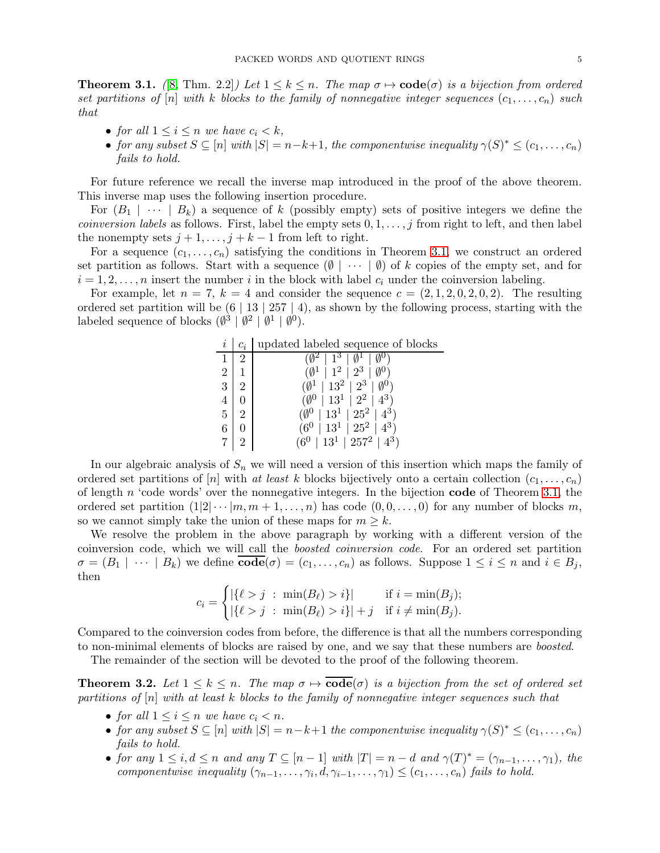<span id="page-4-0"></span>**Theorem 3.1.** ([\[8,](#page-11-10) Thm. 2.2]) Let  $1 \leq k \leq n$ . The map  $\sigma \mapsto \mathbf{code}(\sigma)$  is a bijection from ordered set partitions of  $[n]$  with k blocks to the family of nonnegative integer sequences  $(c_1, \ldots, c_n)$  such that

- for all  $1 \leq i \leq n$  we have  $c_i < k$ ,
- for any subset  $S \subseteq [n]$  with  $|S| = n-k+1$ , the componentwise inequality  $\gamma(S)^* \leq (c_1, \ldots, c_n)$ fails to hold.

For future reference we recall the inverse map introduced in the proof of the above theorem. This inverse map uses the following insertion procedure.

For  $(B_1 \mid \cdots \mid B_k)$  a sequence of k (possibly empty) sets of positive integers we define the *coinversion labels* as follows. First, label the empty sets  $0, 1, \ldots, j$  from right to left, and then label the nonempty sets  $j + 1, \ldots, j + k - 1$  from left to right.

For a sequence  $(c_1, \ldots, c_n)$  satisfying the conditions in Theorem [3.1,](#page-4-0) we construct an ordered set partition as follows. Start with a sequence  $(\emptyset \mid \cdots \mid \emptyset)$  of k copies of the empty set, and for  $i = 1, 2, \ldots, n$  insert the number i in the block with label  $c_i$  under the coinversion labeling.

For example, let  $n = 7$ ,  $k = 4$  and consider the sequence  $c = (2, 1, 2, 0, 2, 0, 2)$ . The resulting ordered set partition will be  $(6 \mid 13 \mid 257 \mid 4)$ , as shown by the following process, starting with the labeled sequence of blocks  $(\emptyset^3 | \emptyset^2 | \emptyset^1 | \emptyset^0)$ .

| i              | $\mathcal{C}^{\cdot}_{\cdot}$ | updated labeled sequence of blocks                  |
|----------------|-------------------------------|-----------------------------------------------------|
|                |                               | $0^2 + 1^3 + 0^1 + 0^0$                             |
| $2^{\circ}$    |                               | $(\emptyset^1 \mid 1^2 \mid 2^3 \mid \emptyset^0)$  |
| 3 <sup>1</sup> |                               | $(\emptyset^1 \mid 13^2 \mid 2^3 \mid \emptyset^0)$ |
| 4              |                               | $(\emptyset^0 \mid 13^1 \mid 2^2 \mid 4^3)$         |
| 5              |                               | $(\emptyset^0 \mid 13^1 \mid 25^2 \mid 4^3)$        |
| 6              |                               | $(6^0 \mid 13^1 \mid 25^2 \mid 4^3)$                |
|                |                               | $(6^0 \mid 13^1 \mid 257^2 \mid 4^3)$               |

In our algebraic analysis of  $S_n$  we will need a version of this insertion which maps the family of ordered set partitions of [n] with at least k blocks bijectively onto a certain collection  $(c_1, \ldots, c_n)$ of length  $n$  'code words' over the nonnegative integers. In the bijection **code** of Theorem [3.1,](#page-4-0) the ordered set partition  $(1|2| \cdots |m, m+1, \ldots, n)$  has code  $(0, 0, \ldots, 0)$  for any number of blocks m, so we cannot simply take the union of these maps for  $m \geq k$ .

We resolve the problem in the above paragraph by working with a different version of the coinversion code, which we will call the boosted coinversion code. For an ordered set partition  $\sigma = (B_1 \mid \cdots \mid B_k)$  we define  $\overline{\text{code}}(\sigma) = (c_1, \ldots, c_n)$  as follows. Suppose  $1 \leq i \leq n$  and  $i \in B_j$ , then

$$
c_i = \begin{cases} |\{\ell > j \ : \ \min(B_\ell) > i\}| & \text{if } i = \min(B_j); \\ |\{\ell > j \ : \ \min(B_\ell) > i\}| + j & \text{if } i \neq \min(B_j). \end{cases}
$$

Compared to the coinversion codes from before, the difference is that all the numbers corresponding to non-minimal elements of blocks are raised by one, and we say that these numbers are boosted.

The remainder of the section will be devoted to the proof of the following theorem.

<span id="page-4-1"></span>**Theorem 3.2.** Let  $1 \leq k \leq n$ . The map  $\sigma \mapsto \overline{\text{code}}(\sigma)$  is a bijection from the set of ordered set partitions of  $[n]$  with at least k blocks to the family of nonnegative integer sequences such that

- for all  $1 \leq i \leq n$  we have  $c_i < n$ .
- for any subset  $S \subseteq [n]$  with  $|S| = n k + 1$  the componentwise inequality  $\gamma(S)^* \leq (c_1, \ldots, c_n)$ fails to hold.
- for any  $1 \leq i, d \leq n$  and any  $T \subseteq [n-1]$  with  $|T| = n d$  and  $\gamma(T)^* = (\gamma_{n-1}, \dots, \gamma_1)$ , the componentwise inequality  $(\gamma_{n-1}, \ldots, \gamma_i, d, \gamma_{i-1}, \ldots, \gamma_1) \leq (c_1, \ldots, c_n)$  fails to hold.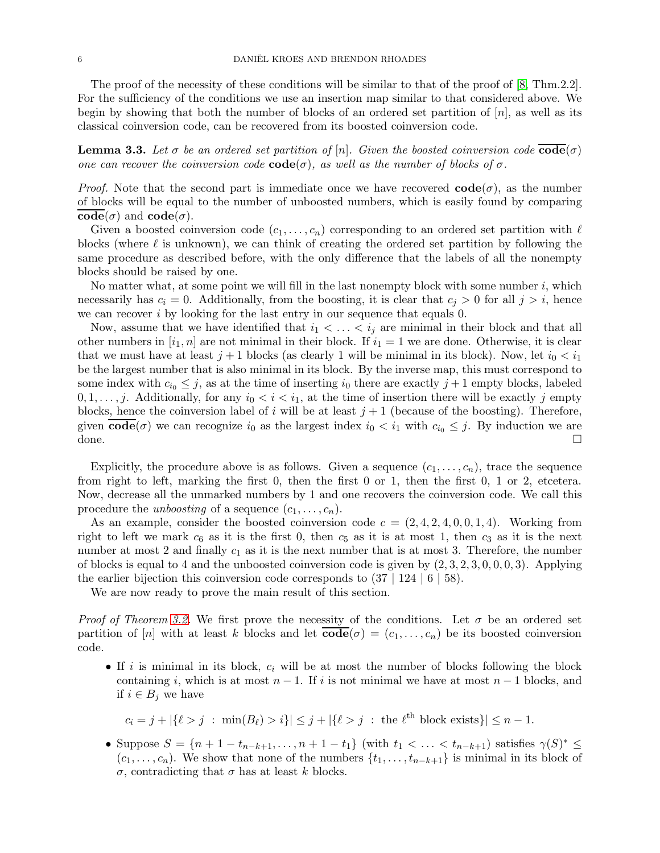**Lemma 3.3.** Let  $\sigma$  be an ordered set partition of  $[n]$ . Given the boosted coinversion code  $\text{code}(\sigma)$ one can recover the coinversion code  $\text{code}(\sigma)$ , as well as the number of blocks of  $\sigma$ .

*Proof.* Note that the second part is immediate once we have recovered  $\text{code}(\sigma)$ , as the number of blocks will be equal to the number of unboosted numbers, which is easily found by comparing  $code(\sigma)$  and  $code(\sigma)$ .

Given a boosted coinversion code  $(c_1, \ldots, c_n)$  corresponding to an ordered set partition with  $\ell$ blocks (where  $\ell$  is unknown), we can think of creating the ordered set partition by following the same procedure as described before, with the only difference that the labels of all the nonempty blocks should be raised by one.

No matter what, at some point we will fill in the last nonempty block with some number  $i$ , which necessarily has  $c_i = 0$ . Additionally, from the boosting, it is clear that  $c_j > 0$  for all  $j > i$ , hence we can recover  $i$  by looking for the last entry in our sequence that equals 0.

Now, assume that we have identified that  $i_1 < \ldots < i_j$  are minimal in their block and that all other numbers in  $[i_1, n]$  are not minimal in their block. If  $i_1 = 1$  we are done. Otherwise, it is clear that we must have at least  $j + 1$  blocks (as clearly 1 will be minimal in its block). Now, let  $i_0 < i_1$ be the largest number that is also minimal in its block. By the inverse map, this must correspond to some index with  $c_{i_0} \leq j$ , as at the time of inserting  $i_0$  there are exactly  $j+1$  empty blocks, labeled  $0, 1, \ldots, j$ . Additionally, for any  $i_0 < i < i_1$ , at the time of insertion there will be exactly j empty blocks, hence the coinversion label of i will be at least  $j + 1$  (because of the boosting). Therefore, given  $\mathbf{code}(\sigma)$  we can recognize  $i_0$  as the largest index  $i_0 < i_1$  with  $c_{i_0} \leq j$ . By induction we are done.

Explicitly, the procedure above is as follows. Given a sequence  $(c_1, \ldots, c_n)$ , trace the sequence from right to left, marking the first 0, then the first 0 or 1, then the first 0, 1 or 2, etcetera. Now, decrease all the unmarked numbers by 1 and one recovers the coinversion code. We call this procedure the *unboosting* of a sequence  $(c_1, \ldots, c_n)$ .

As an example, consider the boosted coinversion code  $c = (2, 4, 2, 4, 0, 0, 1, 4)$ . Working from right to left we mark  $c_6$  as it is the first 0, then  $c_5$  as it is at most 1, then  $c_3$  as it is the next number at most 2 and finally  $c_1$  as it is the next number that is at most 3. Therefore, the number of blocks is equal to 4 and the unboosted coinversion code is given by  $(2, 3, 2, 3, 0, 0, 0, 3)$ . Applying the earlier bijection this coinversion code corresponds to  $(37 \mid 124 \mid 6 \mid 58)$ .

We are now ready to prove the main result of this section.

*Proof of Theorem [3.2.](#page-4-1)* We first prove the necessity of the conditions. Let  $\sigma$  be an ordered set partition of [n] with at least k blocks and let  $\text{code}(\sigma) = (c_1, \ldots, c_n)$  be its boosted coinversion code.

• If i is minimal in its block,  $c_i$  will be at most the number of blocks following the block containing i, which is at most  $n-1$ . If i is not minimal we have at most  $n-1$  blocks, and if  $i \in B_j$  we have

$$
c_i = j + |\{\ell > j \; : \; \min(B_\ell) > i\}| \le j + |\{\ell > j \; : \; \text{the } \ell^{\text{th}} \text{ block exists}\}| \le n - 1.
$$

• Suppose  $S = \{n+1-t_{n-k+1}, \ldots, n+1-t_1\}$  (with  $t_1 < \ldots < t_{n-k+1}$ ) satisfies  $\gamma(S)^* \leq$  $(c_1, \ldots, c_n)$ . We show that none of the numbers  $\{t_1, \ldots, t_{n-k+1}\}$  is minimal in its block of σ, contradicting that σ has at least k blocks.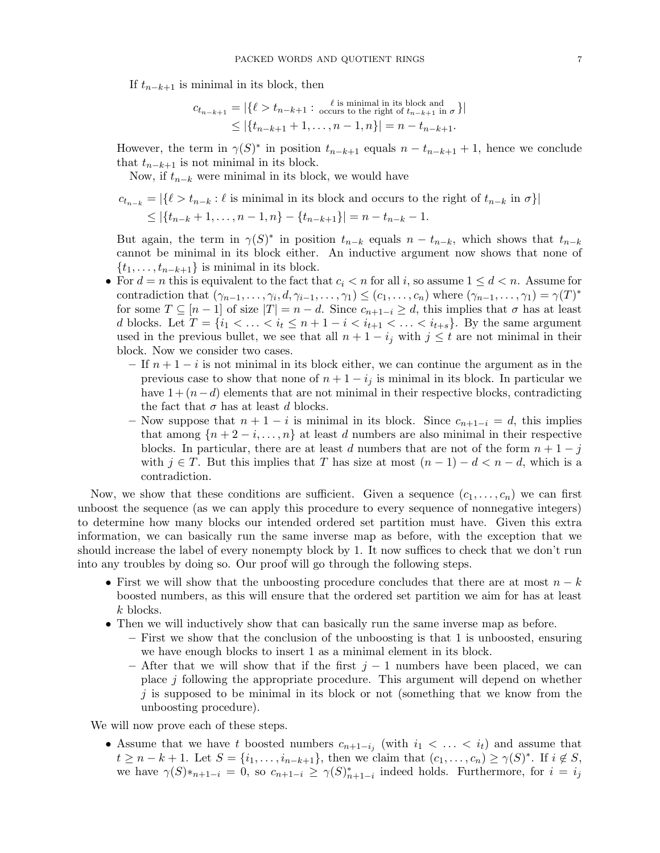If  $t_{n-k+1}$  is minimal in its block, then

$$
c_{t_{n-k+1}} = |\{\ell > t_{n-k+1} : \text{ occurs to the right of } t_{n-k+1} \text{ in } \sigma \}|
$$
  
\$\leq |\{t\_{n-k+1} + 1, \ldots, n-1, n\}| = n - t\_{n-k+1}.

However, the term in  $\gamma(S)^*$  in position  $t_{n-k+1}$  equals  $n-t_{n-k+1}+1$ , hence we conclude that  $t_{n-k+1}$  is not minimal in its block.

Now, if  $t_{n-k}$  were minimal in its block, we would have

$$
c_{t_{n-k}} = |\{\ell > t_{n-k} : \ell \text{ is minimal in its block and occurs to the right of } t_{n-k} \text{ in } \sigma\}|
$$
  
\$\leq |\{t\_{n-k} + 1, \ldots, n-1, n\} - \{t\_{n-k+1}\}| = n - t\_{n-k} - 1.

But again, the term in  $\gamma(S)^*$  in position  $t_{n-k}$  equals  $n-t_{n-k}$ , which shows that  $t_{n-k}$ cannot be minimal in its block either. An inductive argument now shows that none of  $\{t_1, \ldots, t_{n-k+1}\}\$ is minimal in its block.

- For  $d = n$  this is equivalent to the fact that  $c_i < n$  for all i, so assume  $1 \leq d < n$ . Assume for contradiction that  $(\gamma_{n-1},\ldots,\gamma_i,d,\gamma_{i-1},\ldots,\gamma_1) \leq (c_1,\ldots,c_n)$  where  $(\gamma_{n-1},\ldots,\gamma_1) = \gamma(T)^*$ for some  $T \subseteq [n-1]$  of size  $|T| = n - d$ . Since  $c_{n+1-i} \geq d$ , this implies that  $\sigma$  has at least d blocks. Let  $T = \{i_1 < \ldots < i_t \le n + 1 - i < i_{t+1} < \ldots < i_{t+s}\}.$  By the same argument used in the previous bullet, we see that all  $n + 1 - i_j$  with  $j \leq t$  are not minimal in their block. Now we consider two cases.
	- If  $n + 1 i$  is not minimal in its block either, we can continue the argument as in the previous case to show that none of  $n + 1 - i_j$  is minimal in its block. In particular we have  $1+(n-d)$  elements that are not minimal in their respective blocks, contradicting the fact that  $\sigma$  has at least d blocks.
	- Now suppose that  $n + 1 i$  is minimal in its block. Since  $c_{n+1-i} = d$ , this implies that among  $\{n+2-i,\ldots,n\}$  at least d numbers are also minimal in their respective blocks. In particular, there are at least d numbers that are not of the form  $n + 1 - j$ with  $j \in T$ . But this implies that T has size at most  $(n-1) - d < n - d$ , which is a contradiction.

Now, we show that these conditions are sufficient. Given a sequence  $(c_1, \ldots, c_n)$  we can first unboost the sequence (as we can apply this procedure to every sequence of nonnegative integers) to determine how many blocks our intended ordered set partition must have. Given this extra information, we can basically run the same inverse map as before, with the exception that we should increase the label of every nonempty block by 1. It now suffices to check that we don't run into any troubles by doing so. Our proof will go through the following steps.

- First we will show that the unboosting procedure concludes that there are at most  $n k$ boosted numbers, as this will ensure that the ordered set partition we aim for has at least k blocks.
- Then we will inductively show that can basically run the same inverse map as before.
	- First we show that the conclusion of the unboosting is that 1 is unboosted, ensuring we have enough blocks to insert 1 as a minimal element in its block.
	- After that we will show that if the first  $j 1$  numbers have been placed, we can place j following the appropriate procedure. This argument will depend on whether  $j$  is supposed to be minimal in its block or not (something that we know from the unboosting procedure).

We will now prove each of these steps.

• Assume that we have t boosted numbers  $c_{n+1-i_j}$  (with  $i_1 < \ldots < i_t$ ) and assume that  $t \geq n-k+1$ . Let  $S = \{i_1, \ldots, i_{n-k+1}\}\$ , then we claim that  $(c_1, \ldots, c_n) \geq \gamma(S)^*$ . If  $i \notin S$ , we have  $\gamma(S) *_{n+1-i} = 0$ , so  $c_{n+1-i} \geq \gamma(S)_{n+1-i}^*$  indeed holds. Furthermore, for  $i = i_j$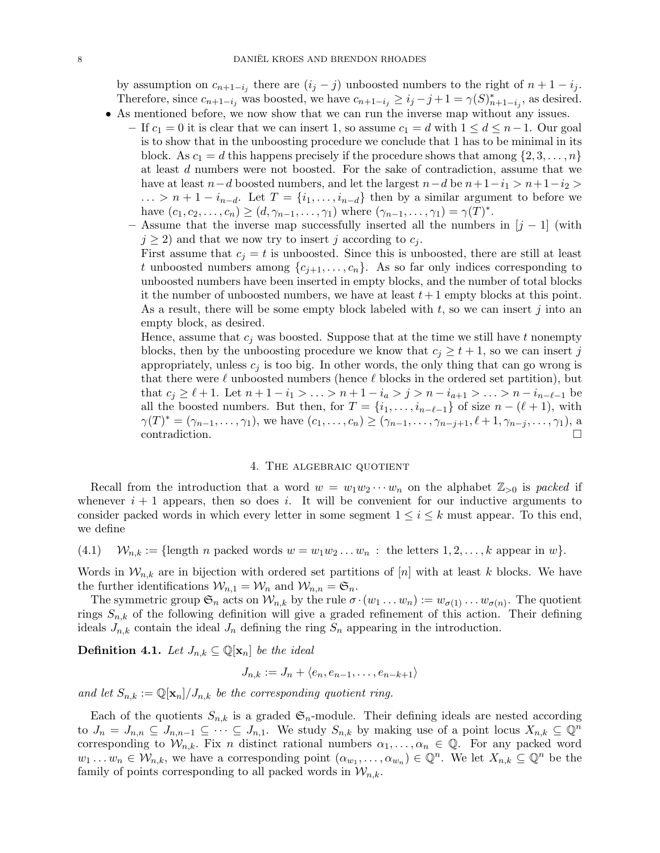by assumption on  $c_{n+1-i_j}$  there are  $(i_j - j)$  unboosted numbers to the right of  $n + 1 - i_j$ . Therefore, since  $c_{n+1-i_j}$  was boosted, we have  $c_{n+1-i_j} \geq i_j - j + 1 = \gamma(S)_{n+1-i_j}^*$ , as desired.

- As mentioned before, we now show that we can run the inverse map without any issues.
	- If  $c_1 = 0$  it is clear that we can insert 1, so assume  $c_1 = d$  with  $1 \leq d \leq n-1$ . Our goal is to show that in the unboosting procedure we conclude that 1 has to be minimal in its block. As  $c_1 = d$  this happens precisely if the procedure shows that among  $\{2, 3, \ldots, n\}$ at least d numbers were not boosted. For the sake of contradiction, assume that we have at least  $n-d$  boosted numbers, and let the largest  $n-d$  be  $n+1-i_1 > n+1-i_2 >$  $\ldots > n+1-i_{n-d}$ . Let  $T = \{i_1, \ldots, i_{n-d}\}\$ then by a similar argument to before we have  $(c_1, c_2, ..., c_n) \ge (d, \gamma_{n-1}, ..., \gamma_1)$  where  $(\gamma_{n-1}, ..., \gamma_1) = \gamma(T)^*$ .
	- Assume that the inverse map successfully inserted all the numbers in  $[j-1]$  (with  $j \geq 2$ ) and that we now try to insert j according to  $c_j$ .
		- First assume that  $c_j = t$  is unboosted. Since this is unboosted, there are still at least t unboosted numbers among  $\{c_{j+1}, \ldots, c_n\}$ . As so far only indices corresponding to unboosted numbers have been inserted in empty blocks, and the number of total blocks it the number of unboosted numbers, we have at least  $t+1$  empty blocks at this point. As a result, there will be some empty block labeled with  $t$ , so we can insert j into an empty block, as desired.

Hence, assume that  $c_j$  was boosted. Suppose that at the time we still have t nonempty blocks, then by the unboosting procedure we know that  $c_i \geq t+1$ , so we can insert j appropriately, unless  $c_j$  is too big. In other words, the only thing that can go wrong is that there were  $\ell$  unboosted numbers (hence  $\ell$  blocks in the ordered set partition), but that  $c_j \geq \ell + 1$ . Let  $n + 1 - i_1 > \ldots > n + 1 - i_a > j > n - i_{a+1} > \ldots > n - i_{n-\ell-1}$  be all the boosted numbers. But then, for  $T = \{i_1, \ldots, i_{n-\ell-1}\}\$  of size  $n - (\ell+1)$ , with  $\gamma(T)^* = (\gamma_{n-1}, \ldots, \gamma_1)$ , we have  $(c_1, \ldots, c_n) \geq (\gamma_{n-1}, \ldots, \gamma_{n-j+1}, \ell+1, \gamma_{n-j}, \ldots, \gamma_1)$ , a contradiction.

### 4. The algebraic quotient

<span id="page-7-0"></span>Recall from the introduction that a word  $w = w_1w_2\cdots w_n$  on the alphabet  $\mathbb{Z}_{\geq 0}$  is packed if whenever  $i + 1$  appears, then so does i. It will be convenient for our inductive arguments to consider packed words in which every letter in some segment  $1 \leq i \leq k$  must appear. To this end, we define

(4.1) 
$$
W_{n,k} := \{\text{length } n \text{ packed words } w = w_1 w_2 \dots w_n : \text{ the letters } 1, 2, \dots, k \text{ appear in } w\}.
$$

Words in  $W_{n,k}$  are in bijection with ordered set partitions of [n] with at least k blocks. We have the further identifications  $\mathcal{W}_{n,1} = \mathcal{W}_n$  and  $\mathcal{W}_{n,n} = \mathfrak{S}_n$ .

The symmetric group  $\mathfrak{S}_n$  acts on  $\mathcal{W}_{n,k}$  by the rule  $\sigma \cdot (w_1 \dots w_n) := w_{\sigma(1)} \dots w_{\sigma(n)}$ . The quotient rings  $S_{n,k}$  of the following definition will give a graded refinement of this action. Their defining ideals  $J_{n,k}$  contain the ideal  $J_n$  defining the ring  $S_n$  appearing in the introduction.

**Definition 4.1.** Let  $J_{n,k} \subseteq \mathbb{Q}[\mathbf{x}_n]$  be the ideal

$$
J_{n,k} := J_n + \langle e_n, e_{n-1}, \dots, e_{n-k+1} \rangle
$$

and let  $S_{n,k} := \mathbb{Q}[\mathbf{x}_n]/J_{n,k}$  be the corresponding quotient ring.

Each of the quotients  $S_{n,k}$  is a graded  $\mathfrak{S}_n$ -module. Their defining ideals are nested according to  $J_n = J_{n,n} \subseteq J_{n,n-1} \subseteq \cdots \subseteq J_{n,1}$ . We study  $S_{n,k}$  by making use of a point locus  $X_{n,k} \subseteq \mathbb{Q}^n$ corresponding to  $W_{n,k}$ . Fix n distinct rational numbers  $\alpha_1, \ldots, \alpha_n \in \mathbb{Q}$ . For any packed word  $w_1 \dots w_n \in \mathcal{W}_{n,k}$ , we have a corresponding point  $(\alpha_{w_1}, \dots, \alpha_{w_n}) \in \mathbb{Q}^n$ . We let  $X_{n,k} \subseteq \mathbb{Q}^n$  be the family of points corresponding to all packed words in  $\mathcal{W}_{n,k}$ .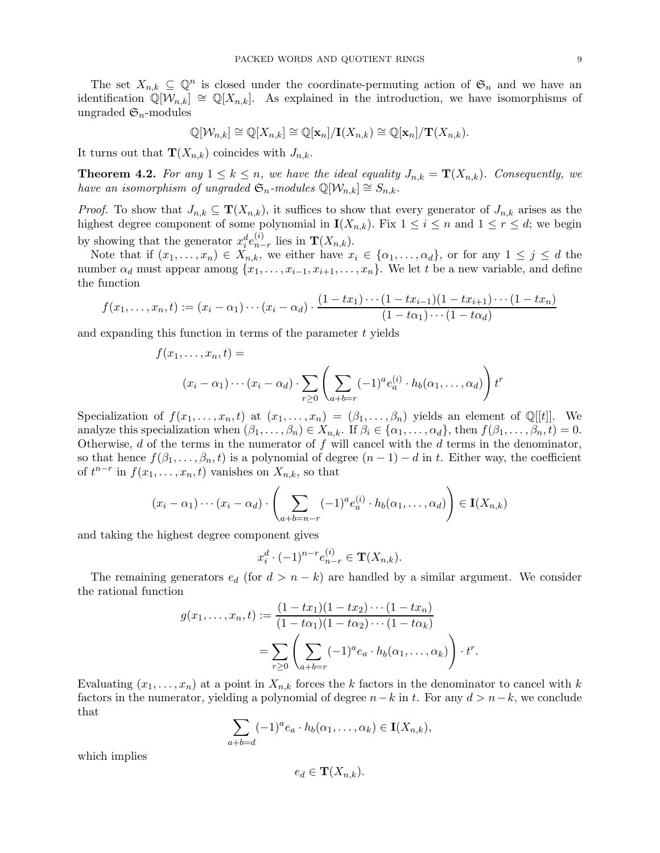The set  $X_{n,k} \subseteq \mathbb{Q}^n$  is closed under the coordinate-permuting action of  $\mathfrak{S}_n$  and we have an identification  $\mathbb{Q}[\mathcal{W}_{n,k}] \cong \mathbb{Q}[X_{n,k}]$ . As explained in the introduction, we have isomorphisms of ungraded  $\mathfrak{S}_n$ -modules

$$
\mathbb{Q}[\mathcal{W}_{n,k}] \cong \mathbb{Q}[X_{n,k}] \cong \mathbb{Q}[\mathbf{x}_n]/\mathbf{I}(X_{n,k}) \cong \mathbb{Q}[\mathbf{x}_n]/\mathbf{T}(X_{n,k}).
$$

It turns out that  $\mathbf{T}(X_{n,k})$  coincides with  $J_{n,k}$ .

<span id="page-8-0"></span>**Theorem 4.2.** For any  $1 \leq k \leq n$ , we have the ideal equality  $J_{n,k} = \mathbf{T}(X_{n,k})$ . Consequently, we have an isomorphism of ungraded  $\mathfrak{S}_n$ -modules  $\mathbb{Q}[\mathcal{W}_{n,k}] \cong S_{n,k}$ .

*Proof.* To show that  $J_{n,k} \subseteq \mathbf{T}(X_{n,k})$ , it suffices to show that every generator of  $J_{n,k}$  arises as the highest degree component of some polynomial in  $I(X_{n,k})$ . Fix  $1 \leq i \leq n$  and  $1 \leq r \leq d$ ; we begin by showing that the generator  $x_i^d e_{n-i}^{(i)}$  $_{n-r}^{(i)}$  lies in  $\mathbf{T}(X_{n,k})$ .

Note that if  $(x_1,\ldots,x_n)\in X_{n,k}$ , we either have  $x_i\in \{\alpha_1,\ldots,\alpha_d\}$ , or for any  $1\leq j\leq d$  the number  $\alpha_d$  must appear among  $\{x_1, \ldots, x_{i-1}, x_{i+1}, \ldots, x_n\}$ . We let t be a new variable, and define the function

$$
f(x_1,...,x_n,t) := (x_i - \alpha_1) \cdots (x_i - \alpha_d) \cdot \frac{(1 - tx_1) \cdots (1 - tx_{i-1})(1 - tx_{i+1}) \cdots (1 - tx_n)}{(1 - t\alpha_1) \cdots (1 - t\alpha_d)}
$$

and expanding this function in terms of the parameter  $t$  yields

$$
f(x_1, \ldots, x_n, t) =
$$
  

$$
(x_i - \alpha_1) \cdots (x_i - \alpha_d) \cdot \sum_{r \ge 0} \left( \sum_{a+b=r} (-1)^a e_a^{(i)} \cdot h_b(\alpha_1, \ldots, \alpha_d) \right) t^r
$$

Specialization of  $f(x_1, \ldots, x_n, t)$  at  $(x_1, \ldots, x_n) = (\beta_1, \ldots, \beta_n)$  yields an element of Q[[t]]. We analyze this specialization when  $(\beta_1, \ldots, \beta_n) \in X_{n,k}$ . If  $\beta_i \in \{\alpha_1, \ldots, \alpha_d\}$ , then  $f(\beta_1, \ldots, \beta_n, t) = 0$ . Otherwise,  $d$  of the terms in the numerator of  $f$  will cancel with the  $d$  terms in the denominator, so that hence  $f(\beta_1,\ldots,\beta_n,t)$  is a polynomial of degree  $(n-1)-d$  in t. Either way, the coefficient of  $t^{n-r}$  in  $f(x_1, \ldots, x_n, t)$  vanishes on  $X_{n,k}$ , so that

$$
(x_i - \alpha_1) \cdots (x_i - \alpha_d) \cdot \left( \sum_{a+b=n-r} (-1)^a e_a^{(i)} \cdot h_b(\alpha_1, \dots, \alpha_d) \right) \in \mathbf{I}(X_{n,k})
$$

and taking the highest degree component gives

$$
x_i^d \cdot (-1)^{n-r} e_{n-r}^{(i)} \in \mathbf{T}(X_{n,k}).
$$

The remaining generators  $e_d$  (for  $d > n - k$ ) are handled by a similar argument. We consider the rational function

$$
g(x_1, ..., x_n, t) := \frac{(1 - tx_1)(1 - tx_2) \cdots (1 - tx_n)}{(1 - t\alpha_1)(1 - t\alpha_2) \cdots (1 - t\alpha_k)}
$$
  
= 
$$
\sum_{r \geq 0} \left( \sum_{a+b=r} (-1)^a e_a \cdot h_b(\alpha_1, ..., \alpha_k) \right) \cdot t^r.
$$

Evaluating  $(x_1, \ldots, x_n)$  at a point in  $X_{n,k}$  forces the k factors in the denominator to cancel with k factors in the numerator, yielding a polynomial of degree  $n-k$  in t. For any  $d > n-k$ , we conclude that

$$
\sum_{a+b=d} (-1)^{a} e_a \cdot h_b(\alpha_1, \dots, \alpha_k) \in \mathbf{I}(X_{n,k}),
$$

which implies

$$
e_d \in \mathbf{T}(X_{n,k}).
$$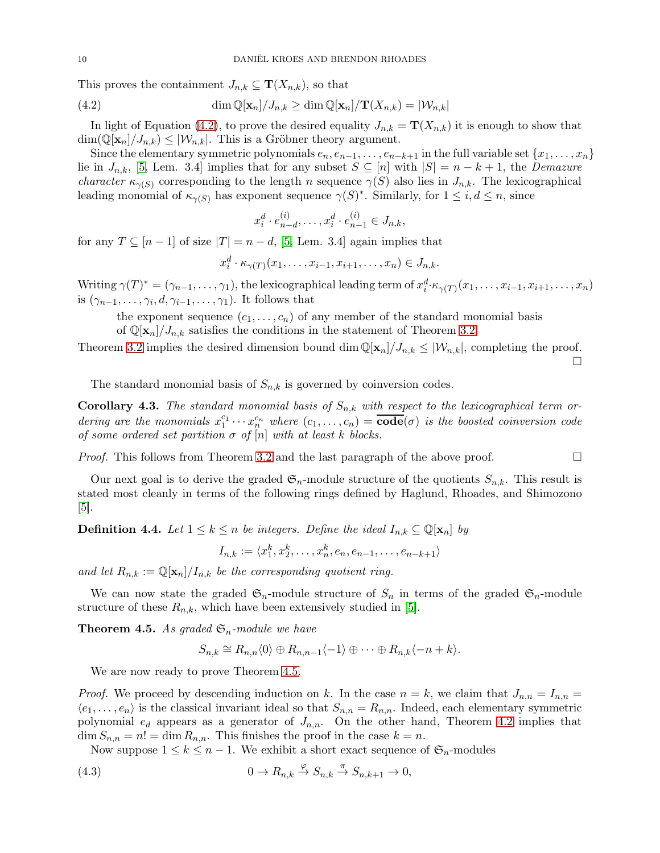This proves the containment  $J_{n,k} \subseteq \mathbf{T}(X_{n,k})$ , so that

(4.2) 
$$
\dim \mathbb{Q}[\mathbf{x}_n]/J_{n,k} \ge \dim \mathbb{Q}[\mathbf{x}_n]/\mathbf{T}(X_{n,k}) = |\mathcal{W}_{n,k}|
$$

In light of Equation [\(4.2\)](#page-9-0), to prove the desired equality  $J_{n,k} = \mathbf{T}(X_{n,k})$  it is enough to show that  $\dim(\mathbb{Q}[\mathbf{x}_n]/J_{n,k}) \leq |\mathcal{W}_{n,k}|$ . This is a Gröbner theory argument.

Since the elementary symmetric polynomials  $e_n, e_{n-1}, \ldots, e_{n-k+1}$  in the full variable set  $\{x_1, \ldots, x_n\}$ lie in  $J_{n,k}$ , [\[5,](#page-11-4) Lem. 3.4] implies that for any subset  $S \subseteq [n]$  with  $|S| = n - k + 1$ , the Demazure *character*  $\kappa_{\gamma(S)}$  corresponding to the length *n* sequence  $\gamma(S)$  also lies in  $J_{n,k}$ . The lexicographical leading monomial of  $\kappa_{\gamma(S)}$  has exponent sequence  $\gamma(S)^*$ . Similarly, for  $1 \leq i, d \leq n$ , since

<span id="page-9-0"></span>
$$
x_i^d \cdot e_{n-d}^{(i)}, \dots, x_i^d \cdot e_{n-1}^{(i)} \in J_{n,k},
$$

for any  $T \subseteq [n-1]$  of size  $|T| = n - d$ , [\[5,](#page-11-4) Lem. 3.4] again implies that

$$
x_i^d \cdot \kappa_{\gamma(T)}(x_1, \ldots, x_{i-1}, x_{i+1}, \ldots, x_n) \in J_{n,k}.
$$

Writing  $\gamma(T)^* = (\gamma_{n-1}, \ldots, \gamma_1)$ , the lexicographical leading term of  $x_i^d \cdot \kappa_{\gamma(T)}(x_1, \ldots, x_{i-1}, x_{i+1}, \ldots, x_n)$ is  $(\gamma_{n-1}, \ldots, \gamma_i, d, \gamma_{i-1}, \ldots, \gamma_1)$ . It follows that

the exponent sequence  $(c_1, \ldots, c_n)$  of any member of the standard monomial basis of  $\mathbb{Q}[\mathbf{x}_n]/J_{n,k}$  satisfies the conditions in the statement of Theorem [3.2.](#page-4-1)

Theorem [3.2](#page-4-1) implies the desired dimension bound dim  $\mathbb{Q}[\mathbf{x}_n]/J_{n,k} \leq |\mathcal{W}_{n,k}|$ , completing the proof.

 $\Box$ 

The standard monomial basis of  $S_{n,k}$  is governed by coinversion codes.

**Corollary 4.3.** The standard monomial basis of  $S_{n,k}$  with respect to the lexicographical term ordering are the monomials  $x_1^{c_1} \cdots x_n^{c_n}$  where  $(c_1, \ldots, c_n) = \overline{\text{code}}(\sigma)$  is the boosted coinversion code of some ordered set partition  $\sigma$  of  $[n]$  with at least k blocks.

*Proof.* This follows from Theorem [3.2](#page-4-1) and the last paragraph of the above proof.  $\Box$ 

Our next goal is to derive the graded  $\mathfrak{S}_n$ -module structure of the quotients  $S_{n,k}$ . This result is stated most cleanly in terms of the following rings defined by Haglund, Rhoades, and Shimozono [\[5\]](#page-11-4).

<span id="page-9-3"></span>**Definition 4.4.** Let  $1 \leq k \leq n$  be integers. Define the ideal  $I_{n,k} \subseteq \mathbb{Q}[\mathbf{x}_n]$  by

 $I_{n,k} := \langle x_1^k, x_2^k, \ldots, x_n^k, e_n, e_{n-1}, \ldots, e_{n-k+1} \rangle$ 

and let  $R_{n,k} := \mathbb{Q}[\mathbf{x}_n]/I_{n,k}$  be the corresponding quotient ring.

We can now state the graded  $\mathfrak{S}_n$ -module structure of  $S_n$  in terms of the graded  $\mathfrak{S}_n$ -module structure of these  $R_{n,k}$ , which have been extensively studied in [\[5\]](#page-11-4).

<span id="page-9-1"></span>**Theorem 4.5.** As graded  $\mathfrak{S}_n$ -module we have

<span id="page-9-2"></span>
$$
S_{n,k} \cong R_{n,n} \langle 0 \rangle \oplus R_{n,n-1} \langle -1 \rangle \oplus \cdots \oplus R_{n,k} \langle -n+k \rangle.
$$

We are now ready to prove Theorem [4.5.](#page-9-1)

*Proof.* We proceed by descending induction on k. In the case  $n = k$ , we claim that  $J_{n,n} = I_{n,n}$  $\langle e_1, \ldots, e_n \rangle$  is the classical invariant ideal so that  $S_{n,n} = R_{n,n}$ . Indeed, each elementary symmetric polynomial  $e_d$  appears as a generator of  $J_{n,n}$ . On the other hand, Theorem [4.2](#page-8-0) implies that  $\dim S_{n,n} = n! = \dim R_{n,n}$ . This finishes the proof in the case  $k = n$ .

Now suppose  $1 \leq k \leq n-1$ . We exhibit a short exact sequence of  $\mathfrak{S}_n$ -modules

(4.3) 
$$
0 \to R_{n,k} \overset{\varphi}{\to} S_{n,k} \overset{\pi}{\to} S_{n,k+1} \to 0,
$$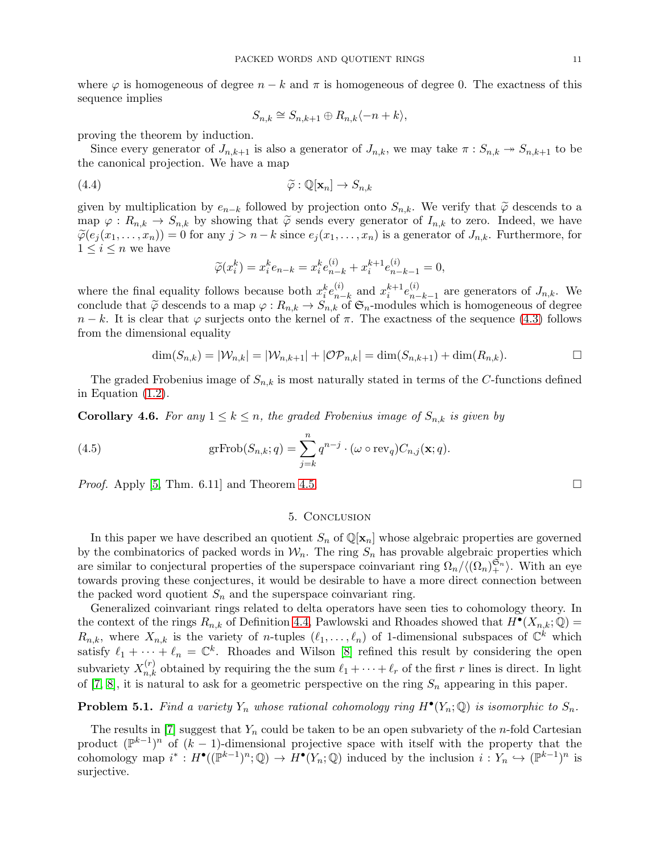where  $\varphi$  is homogeneous of degree  $n - k$  and  $\pi$  is homogeneous of degree 0. The exactness of this sequence implies

$$
S_{n,k} \cong S_{n,k+1} \oplus R_{n,k} \langle -n+k \rangle,
$$

proving the theorem by induction.

Since every generator of  $J_{n,k+1}$  is also a generator of  $J_{n,k}$ , we may take  $\pi : S_{n,k} \to S_{n,k+1}$  to be the canonical projection. We have a map

$$
\widetilde{\varphi}: \mathbb{Q}[\mathbf{x}_n] \to S_{n,k}
$$

given by multiplication by  $e_{n-k}$  followed by projection onto  $S_{n,k}$ . We verify that  $\tilde{\varphi}$  descends to a map  $\varphi: R_{n,k} \to S_{n,k}$  by showing that  $\tilde{\varphi}$  sends every generator of  $I_{n,k}$  to zero. Indeed, we have  $\widetilde{\varphi}(e_j(x_1,\ldots,x_n))=0$  for any  $j>n-k$  since  $e_j(x_1,\ldots,x_n)$  is a generator of  $J_{n,k}$ . Furthermore, for  $1 \leq i \leq n$  we have

$$
\widetilde{\varphi}(x_i^k) = x_i^k e_{n-k} = x_i^k e_{n-k}^{(i)} + x_i^{k+1} e_{n-k-1}^{(i)} = 0,
$$

where the final equality follows because both  $x_i^k e_{n-i}^{(i)}$  $_{n-k}^{(i)}$  and  $x_i^{k+1}e_{n-k}^{(i)}$  $_{n-k-1}^{(i)}$  are generators of  $J_{n,k}$ . We conclude that  $\tilde{\varphi}$  descends to a map  $\varphi: R_{n,k} \to S_{n,k}$  of  $\mathfrak{S}_n$ -modules which is homogeneous of degree  $n - k$ . It is clear that  $\varphi$  surjects onto the kernel of  $\pi$ . The exactness of the sequence [\(4.3\)](#page-9-2) follows from the dimensional equality

$$
\dim(S_{n,k}) = |\mathcal{W}_{n,k}| = |\mathcal{W}_{n,k+1}| + |\mathcal{OP}_{n,k}| = \dim(S_{n,k+1}) + \dim(R_{n,k}).
$$

The graded Frobenius image of  $S_{n,k}$  is most naturally stated in terms of the C-functions defined in Equation [\(1.2\)](#page-1-3).

**Corollary 4.6.** For any  $1 \leq k \leq n$ , the graded Frobenius image of  $S_{n,k}$  is given by

(4.5) 
$$
\mathrm{grFrob}(S_{n,k};q) = \sum_{j=k}^{n} q^{n-j} \cdot (\omega \circ \mathrm{rev}_q) C_{n,j}(\mathbf{x};q).
$$

<span id="page-10-0"></span>*Proof.* Apply [\[5,](#page-11-4) Thm. 6.11] and Theorem [4.5.](#page-9-1)

# 5. Conclusion

In this paper we have described an quotient  $S_n$  of  $\mathbb{Q}[\mathbf{x}_n]$  whose algebraic properties are governed by the combinatorics of packed words in  $W_n$ . The ring  $S_n$  has provable algebraic properties which are similar to conjectural properties of the superspace coinvariant ring  $\Omega_n / \langle (\Omega_n) \xi_n \rangle$ . With an eye towards proving these conjectures, it would be desirable to have a more direct connection between the packed word quotient  $S_n$  and the superspace coinvariant ring.

Generalized coinvariant rings related to delta operators have seen ties to cohomology theory. In the context of the rings  $R_{n,k}$  of Definition [4.4,](#page-9-3) Pawlowski and Rhoades showed that  $H^{\bullet}(X_{n,k};\mathbb{Q})=$  $R_{n,k}$ , where  $X_{n,k}$  is the variety of *n*-tuples  $(\ell_1,\ldots,\ell_n)$  of 1-dimensional subspaces of  $\mathbb{C}^k$  which satisfy  $\ell_1 + \cdots + \ell_n = \mathbb{C}^k$ . Rhoades and Wilson [\[8\]](#page-11-10) refined this result by considering the open subvariety  $X_{n,k}^{(r)}$  obtained by requiring the the sum  $\ell_1 + \cdots + \ell_r$  of the first r lines is direct. In light of [\[7,](#page-11-5) [8\]](#page-11-10), it is natural to ask for a geometric perspective on the ring  $S_n$  appearing in this paper.

**Problem 5.1.** Find a variety  $Y_n$  whose rational cohomology ring  $H^{\bullet}(Y_n; \mathbb{Q})$  is isomorphic to  $S_n$ .

The results in [\[7\]](#page-11-5) suggest that  $Y_n$  could be taken to be an open subvariety of the *n*-fold Cartesian product  $(\mathbb{P}^{k-1})^n$  of  $(k-1)$ -dimensional projective space with itself with the property that the cohomology map  $i^*: H^{\bullet}((\mathbb{P}^{k-1})^n; \mathbb{Q}) \to H^{\bullet}(Y_n; \mathbb{Q})$  induced by the inclusion  $i: Y_n \hookrightarrow (\mathbb{P}^{k-1})^n$  is surjective.